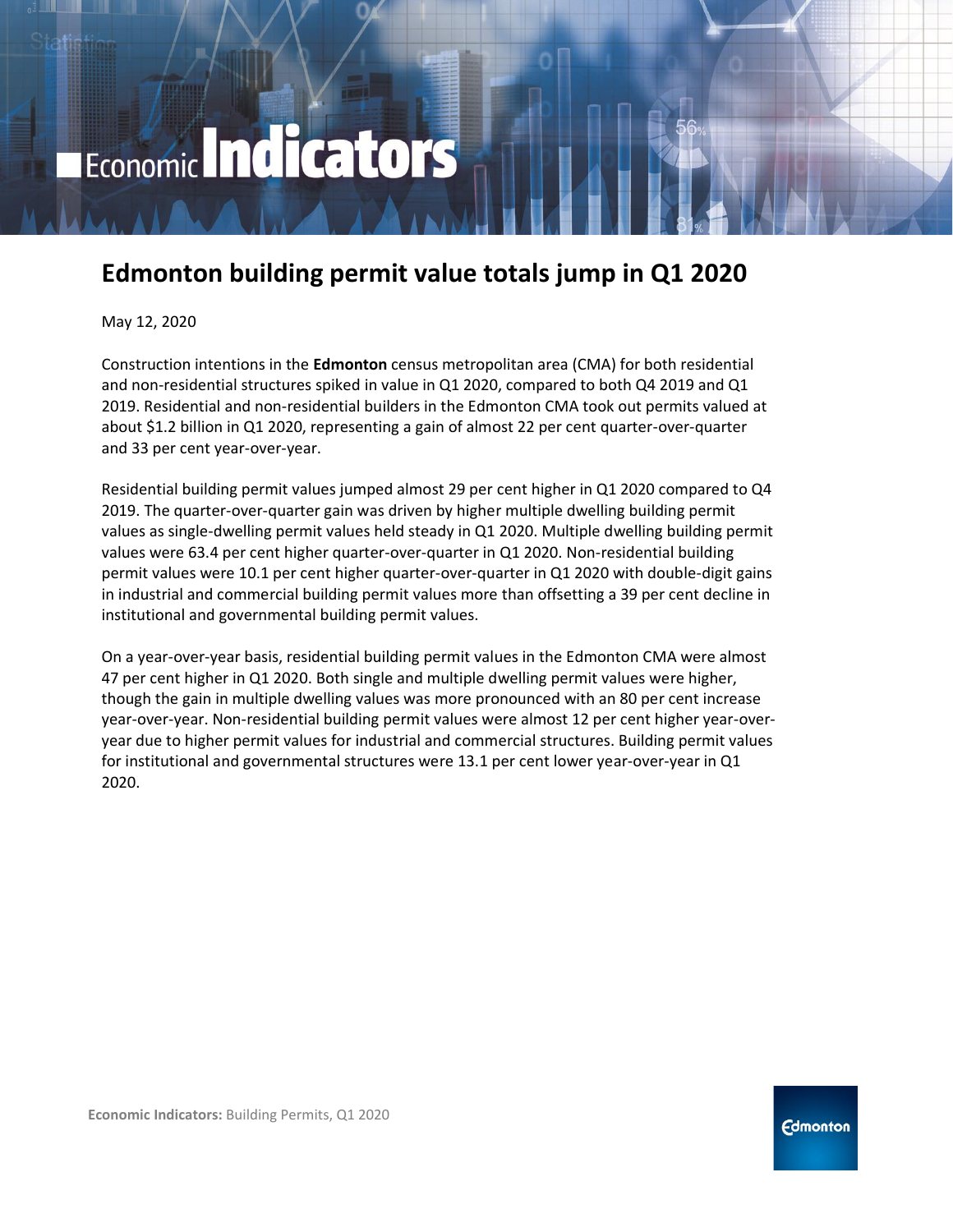# Economic Indicators

## **Edmonton building permit value totals jump in Q1 2020**

May 12, 2020

Construction intentions in the **Edmonton** census metropolitan area (CMA) for both residential and non-residential structures spiked in value in Q1 2020, compared to both Q4 2019 and Q1 2019. Residential and non-residential builders in the Edmonton CMA took out permits valued at about \$1.2 billion in Q1 2020, representing a gain of almost 22 per cent quarter-over-quarter and 33 per cent year-over-year.

Residential building permit values jumped almost 29 per cent higher in Q1 2020 compared to Q4 2019. The quarter-over-quarter gain was driven by higher multiple dwelling building permit values as single-dwelling permit values held steady in Q1 2020. Multiple dwelling building permit values were 63.4 per cent higher quarter-over-quarter in Q1 2020. Non-residential building permit values were 10.1 per cent higher quarter-over-quarter in Q1 2020 with double-digit gains in industrial and commercial building permit values more than offsetting a 39 per cent decline in institutional and governmental building permit values.

On a year-over-year basis, residential building permit values in the Edmonton CMA were almost 47 per cent higher in Q1 2020. Both single and multiple dwelling permit values were higher, though the gain in multiple dwelling values was more pronounced with an 80 per cent increase year-over-year. Non-residential building permit values were almost 12 per cent higher year-overyear due to higher permit values for industrial and commercial structures. Building permit values for institutional and governmental structures were 13.1 per cent lower year-over-year in Q1 2020.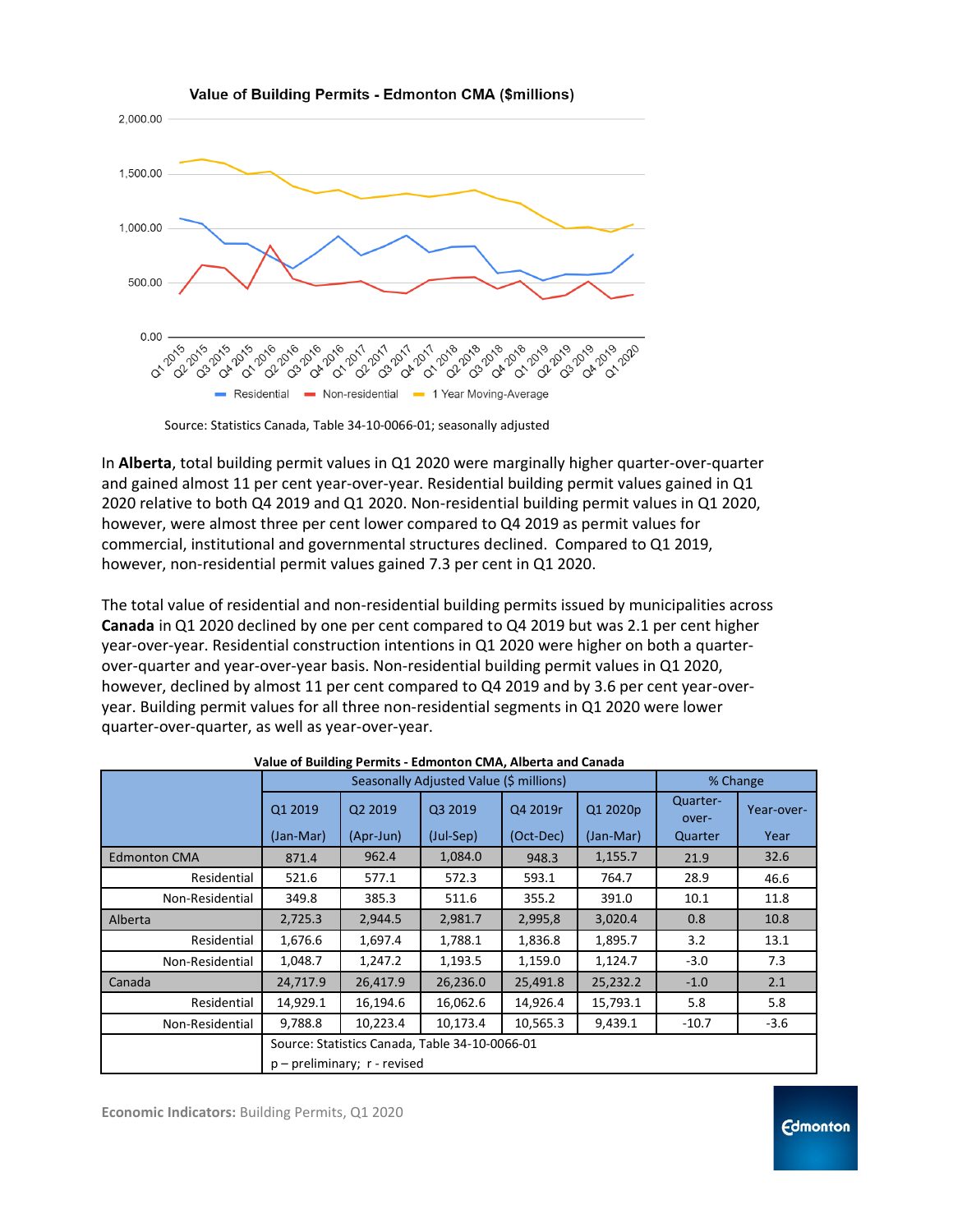

Source: Statistics Canada, Table 34-10-0066-01; seasonally adjusted

In **Alberta**, total building permit values in Q1 2020 were marginally higher quarter-over-quarter and gained almost 11 per cent year-over-year. Residential building permit values gained in Q1 2020 relative to both Q4 2019 and Q1 2020. Non-residential building permit values in Q1 2020, however, were almost three per cent lower compared to Q4 2019 as permit values for commercial, institutional and governmental structures declined. Compared to Q1 2019, however, non-residential permit values gained 7.3 per cent in Q1 2020.

The total value of residential and non-residential building permits issued by municipalities across **Canada** in Q1 2020 declined by one per cent compared to Q4 2019 but was 2.1 per cent higher year-over-year. Residential construction intentions in Q1 2020 were higher on both a quarterover-quarter and year-over-year basis. Non-residential building permit values in Q1 2020, however, declined by almost 11 per cent compared to Q4 2019 and by 3.6 per cent year-overyear. Building permit values for all three non-residential segments in Q1 2020 were lower quarter-over-quarter, as well as year-over-year.

|                     | Seasonally Adjusted Value (\$ millions)        |                     |           |           |           | % Change          |            |
|---------------------|------------------------------------------------|---------------------|-----------|-----------|-----------|-------------------|------------|
|                     | Q1 2019                                        | Q <sub>2</sub> 2019 | Q3 2019   | Q4 2019r  | Q1 2020p  | Quarter-<br>over- | Year-over- |
|                     | (Jan-Mar)                                      | (Apr-Jun)           | (Jul-Sep) | (Oct-Dec) | (Jan-Mar) | Quarter           | Year       |
| <b>Edmonton CMA</b> | 871.4                                          | 962.4               | 1,084.0   | 948.3     | 1,155.7   | 21.9              | 32.6       |
| Residential         | 521.6                                          | 577.1               | 572.3     | 593.1     | 764.7     | 28.9              | 46.6       |
| Non-Residential     | 349.8                                          | 385.3               | 511.6     | 355.2     | 391.0     | 10.1              | 11.8       |
| Alberta             | 2,725.3                                        | 2,944.5             | 2,981.7   | 2,995,8   | 3,020.4   | 0.8               | 10.8       |
| Residential         | 1,676.6                                        | 1,697.4             | 1,788.1   | 1,836.8   | 1,895.7   | 3.2               | 13.1       |
| Non-Residential     | 1,048.7                                        | 1,247.2             | 1,193.5   | 1,159.0   | 1,124.7   | $-3.0$            | 7.3        |
| Canada              | 24,717.9                                       | 26,417.9            | 26,236.0  | 25,491.8  | 25,232.2  | $-1.0$            | 2.1        |
| Residential         | 14,929.1                                       | 16,194.6            | 16,062.6  | 14,926.4  | 15,793.1  | 5.8               | 5.8        |
| Non-Residential     | 9,788.8                                        | 10,223.4            | 10,173.4  | 10,565.3  | 9,439.1   | $-10.7$           | $-3.6$     |
|                     | Source: Statistics Canada, Table 34-10-0066-01 |                     |           |           |           |                   |            |
|                     | $p$ – preliminary; $r$ - revised               |                     |           |           |           |                   |            |

**Value of Building Permits - Edmonton CMA, Alberta and Canada**